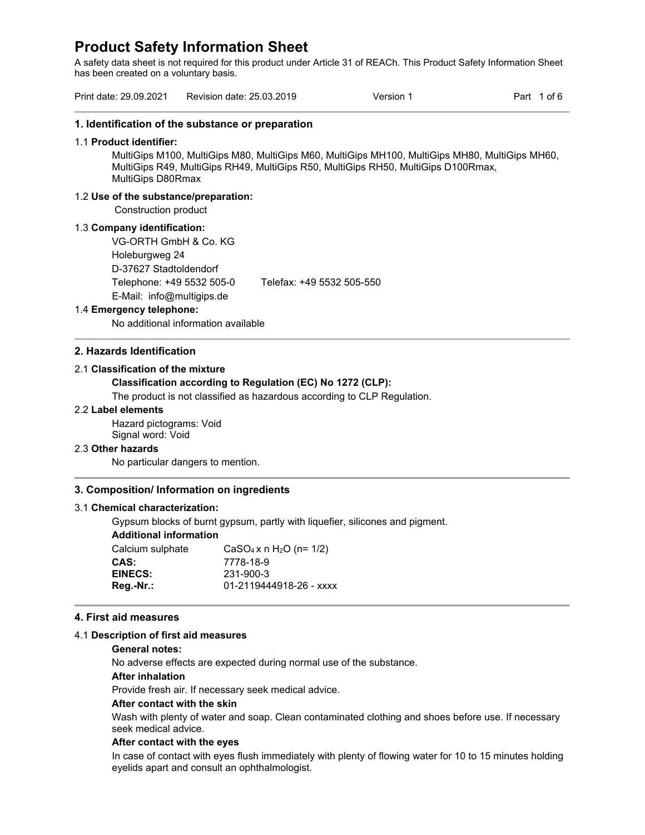A safety data sheet is not required for this product under Article 31 of REACh. This Product Safety Information Sheet has been created on a voluntary basis.

| Print date: 29.09.2021                                                                           | Revision date: 25.03.2019                                                           | Version 1                                                                                                                                                                           | Part 1 of 6 |  |  |  |
|--------------------------------------------------------------------------------------------------|-------------------------------------------------------------------------------------|-------------------------------------------------------------------------------------------------------------------------------------------------------------------------------------|-------------|--|--|--|
| 1. Identification of the substance or preparation                                                |                                                                                     |                                                                                                                                                                                     |             |  |  |  |
| 1.1 Product identifier:<br><b>MultiGips D80Rmax</b>                                              |                                                                                     | MultiGips M100, MultiGips M80, MultiGips M60, MultiGips MH100, MultiGips MH80, MultiGips MH60,<br>MultiGips R49, MultiGips RH49, MultiGips R50, MultiGips RH50, MultiGips D100Rmax, |             |  |  |  |
| 1.2 Use of the substance/preparation:<br>Construction product                                    |                                                                                     |                                                                                                                                                                                     |             |  |  |  |
| 1.3 Company identification:<br>VG-ORTH GmbH & Co. KG<br>Holeburgweg 24<br>D-37627 Stadtoldendorf |                                                                                     |                                                                                                                                                                                     |             |  |  |  |
|                                                                                                  | Telephone: +49 5532 505-0<br>Telefax: +49 5532 505-550<br>E-Mail: info@multigips.de |                                                                                                                                                                                     |             |  |  |  |
| 1.4 Emergency telephone:                                                                         |                                                                                     |                                                                                                                                                                                     |             |  |  |  |
| No additional information available                                                              |                                                                                     |                                                                                                                                                                                     |             |  |  |  |
| 2. Hazards Identification                                                                        |                                                                                     |                                                                                                                                                                                     |             |  |  |  |
| 2.1 Classification of the mixture                                                                |                                                                                     |                                                                                                                                                                                     |             |  |  |  |
|                                                                                                  | Classification according to Regulation (EC) No 1272 (CLP):                          |                                                                                                                                                                                     |             |  |  |  |
|                                                                                                  | The product is not classified as hazardous according to CLP Regulation.             |                                                                                                                                                                                     |             |  |  |  |
| 2.2 Label elements                                                                               |                                                                                     |                                                                                                                                                                                     |             |  |  |  |
| Hazard pictograms: Void<br>Signal word: Void                                                     |                                                                                     |                                                                                                                                                                                     |             |  |  |  |
| 2.3 Other hazards                                                                                |                                                                                     |                                                                                                                                                                                     |             |  |  |  |
| No particular dangers to mention.                                                                |                                                                                     |                                                                                                                                                                                     |             |  |  |  |
| 3. Composition/ Information on ingredients                                                       |                                                                                     |                                                                                                                                                                                     |             |  |  |  |
| 3.1 Chemical characterization:                                                                   |                                                                                     |                                                                                                                                                                                     |             |  |  |  |
|                                                                                                  |                                                                                     | Gypsum blocks of burnt gypsum, partly with liquefier, silicones and pigment.                                                                                                        |             |  |  |  |
| <b>Additional information</b>                                                                    |                                                                                     |                                                                                                                                                                                     |             |  |  |  |
| Calcium sulphate                                                                                 | $CaSO_4x$ n H <sub>2</sub> O (n= 1/2)                                               |                                                                                                                                                                                     |             |  |  |  |
| CAS:                                                                                             | 7778-18-9                                                                           |                                                                                                                                                                                     |             |  |  |  |
|                                                                                                  | 231-900-3                                                                           |                                                                                                                                                                                     |             |  |  |  |
| <b>EINECS:</b>                                                                                   |                                                                                     |                                                                                                                                                                                     |             |  |  |  |

# 4.1 **Description of first aid measures**

**General notes:** 

No adverse effects are expected during normal use of the substance.

#### **After inhalation**

Provide fresh air. If necessary seek medical advice.

#### **After contact with the skin**

Wash with plenty of water and soap. Clean contaminated clothing and shoes before use. If necessary seek medical advice.

#### **After contact with the eyes**

In case of contact with eyes flush immediately with plenty of flowing water for 10 to 15 minutes holding eyelids apart and consult an ophthalmologist.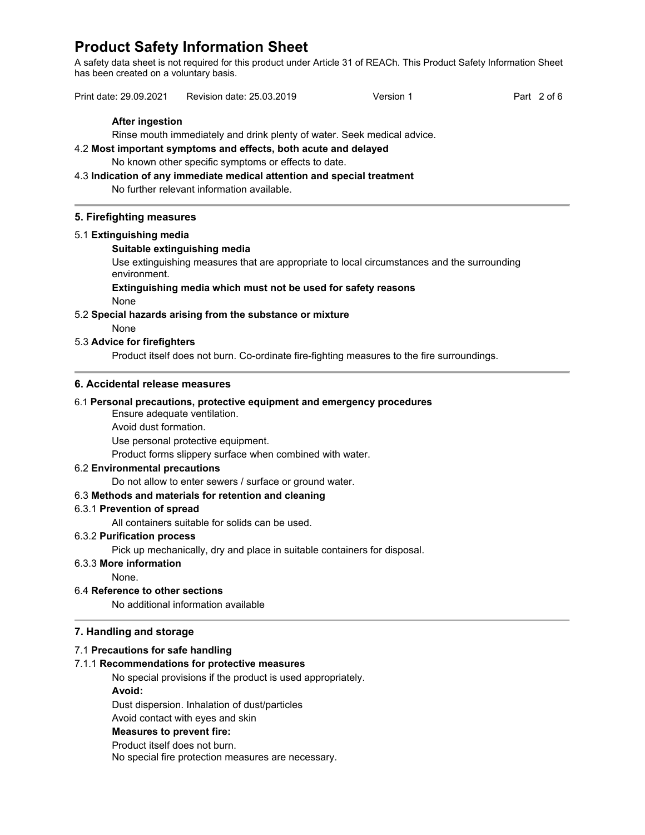A safety data sheet is not required for this product under Article 31 of REACh. This Product Safety Information Sheet has been created on a voluntary basis.

| Print date: 29.09.2021<br>Revision date: 25.03.2019<br>Part 2 of 6<br>Version 1 |  |
|---------------------------------------------------------------------------------|--|
|---------------------------------------------------------------------------------|--|

## **After ingestion**

Rinse mouth immediately and drink plenty of water. Seek medical advice.

# 4.2 **Most important symptoms and effects, both acute and delayed**

No known other specific symptoms or effects to date.

4.3 **Indication of any immediate medical attention and special treatment** No further relevant information available.

#### **5. Firefighting measures**

#### 5.1 **Extinguishing media**

#### **Suitable extinguishing media**

Use extinguishing measures that are appropriate to local circumstances and the surrounding environment.

# **Extinguishing media which must not be used for safety reasons**

None

#### 5.2 **Special hazards arising from the substance or mixture**

#### None

#### 5.3 **Advice for firefighters**

Product itself does not burn. Co-ordinate fire-fighting measures to the fire surroundings.

### **6. Accidental release measures**

#### 6.1 **Personal precautions, protective equipment and emergency procedures**

Ensure adequate ventilation.

Avoid dust formation.

Use personal protective equipment.

Product forms slippery surface when combined with water.

#### 6.2 **Environmental precautions**

Do not allow to enter sewers / surface or ground water.

#### 6.3 **Methods and materials for retention and cleaning**

#### 6.3.1 **Prevention of spread**

All containers suitable for solids can be used.

#### 6.3.2 **Purification process**

Pick up mechanically, dry and place in suitable containers for disposal.

# 6.3.3 **More information**

None.

## 6.4 **Reference to other sections**

No additional information available

## **7. Handling and storage**

#### 7.1 **Precautions for safe handling**

## 7.1.1 **Recommendations for protective measures**

No special provisions if the product is used appropriately. **Avoid:** 

Dust dispersion. Inhalation of dust/particles

Avoid contact with eyes and skin

#### **Measures to prevent fire:**

Product itself does not burn. No special fire protection measures are necessary.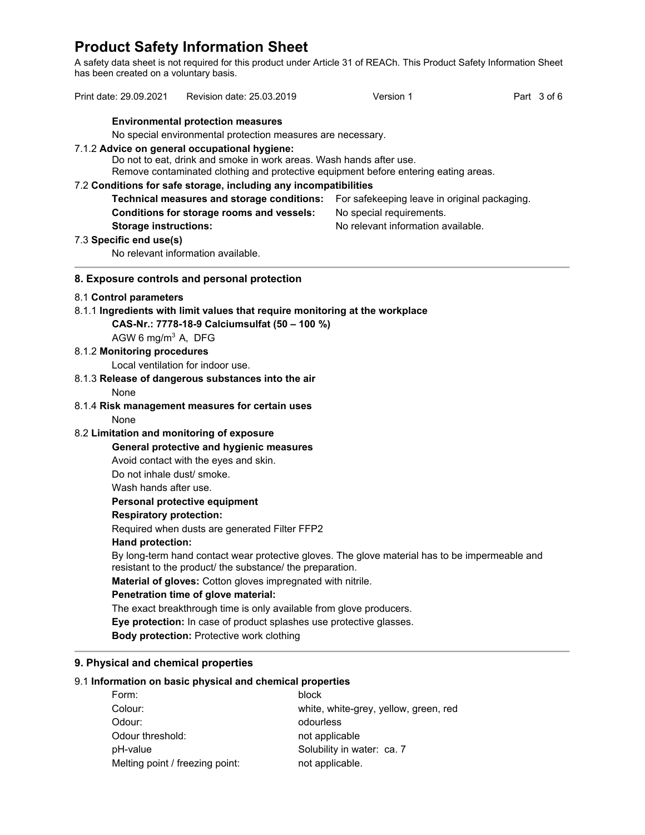A safety data sheet is not required for this product under Article 31 of REACh. This Product Safety Information Sheet has been created on a voluntary basis.

|                                                                                                                                             |                                                                                            | Print date: 29.09.2021 Revision date: 25.03.2019                             |                                    | Version 1                                                                                      |  | Part 3 of 6 |  |  |  |
|---------------------------------------------------------------------------------------------------------------------------------------------|--------------------------------------------------------------------------------------------|------------------------------------------------------------------------------|------------------------------------|------------------------------------------------------------------------------------------------|--|-------------|--|--|--|
|                                                                                                                                             |                                                                                            | <b>Environmental protection measures</b>                                     |                                    |                                                                                                |  |             |  |  |  |
|                                                                                                                                             |                                                                                            | No special environmental protection measures are necessary.                  |                                    |                                                                                                |  |             |  |  |  |
|                                                                                                                                             |                                                                                            | 7.1.2 Advice on general occupational hygiene:                                |                                    |                                                                                                |  |             |  |  |  |
|                                                                                                                                             |                                                                                            | Do not to eat, drink and smoke in work areas. Wash hands after use.          |                                    | Remove contaminated clothing and protective equipment before entering eating areas.            |  |             |  |  |  |
|                                                                                                                                             |                                                                                            | 7.2 Conditions for safe storage, including any incompatibilities             |                                    |                                                                                                |  |             |  |  |  |
|                                                                                                                                             | Technical measures and storage conditions:<br>For safekeeping leave in original packaging. |                                                                              |                                    |                                                                                                |  |             |  |  |  |
| Conditions for storage rooms and vessels:<br>No special requirements.<br>No relevant information available.<br><b>Storage instructions:</b> |                                                                                            |                                                                              |                                    |                                                                                                |  |             |  |  |  |
|                                                                                                                                             |                                                                                            |                                                                              |                                    |                                                                                                |  |             |  |  |  |
|                                                                                                                                             | 7.3 Specific end use(s)                                                                    |                                                                              |                                    |                                                                                                |  |             |  |  |  |
|                                                                                                                                             |                                                                                            | No relevant information available.                                           |                                    |                                                                                                |  |             |  |  |  |
|                                                                                                                                             |                                                                                            | 8. Exposure controls and personal protection                                 |                                    |                                                                                                |  |             |  |  |  |
|                                                                                                                                             | 8.1 Control parameters                                                                     |                                                                              |                                    |                                                                                                |  |             |  |  |  |
|                                                                                                                                             |                                                                                            | 8.1.1 Ingredients with limit values that require monitoring at the workplace |                                    |                                                                                                |  |             |  |  |  |
|                                                                                                                                             |                                                                                            | CAS-Nr.: 7778-18-9 Calciumsulfat (50 - 100 %)                                |                                    |                                                                                                |  |             |  |  |  |
|                                                                                                                                             | AGW 6 mg/m <sup>3</sup> A, DFG                                                             |                                                                              |                                    |                                                                                                |  |             |  |  |  |
|                                                                                                                                             | 8.1.2 Monitoring procedures                                                                |                                                                              |                                    |                                                                                                |  |             |  |  |  |
|                                                                                                                                             |                                                                                            | Local ventilation for indoor use.                                            |                                    |                                                                                                |  |             |  |  |  |
|                                                                                                                                             |                                                                                            | 8.1.3 Release of dangerous substances into the air                           |                                    |                                                                                                |  |             |  |  |  |
|                                                                                                                                             | None                                                                                       |                                                                              |                                    |                                                                                                |  |             |  |  |  |
|                                                                                                                                             |                                                                                            | 8.1.4 Risk management measures for certain uses                              |                                    |                                                                                                |  |             |  |  |  |
|                                                                                                                                             | None                                                                                       |                                                                              |                                    |                                                                                                |  |             |  |  |  |
|                                                                                                                                             |                                                                                            | 8.2 Limitation and monitoring of exposure                                    |                                    |                                                                                                |  |             |  |  |  |
|                                                                                                                                             |                                                                                            | General protective and hygienic measures                                     |                                    |                                                                                                |  |             |  |  |  |
|                                                                                                                                             |                                                                                            | Avoid contact with the eyes and skin.                                        |                                    |                                                                                                |  |             |  |  |  |
|                                                                                                                                             | Do not inhale dust/ smoke.                                                                 |                                                                              |                                    |                                                                                                |  |             |  |  |  |
|                                                                                                                                             | Wash hands after use.                                                                      |                                                                              |                                    |                                                                                                |  |             |  |  |  |
|                                                                                                                                             |                                                                                            | Personal protective equipment                                                |                                    |                                                                                                |  |             |  |  |  |
|                                                                                                                                             | <b>Respiratory protection:</b>                                                             |                                                                              |                                    |                                                                                                |  |             |  |  |  |
|                                                                                                                                             |                                                                                            | Required when dusts are generated Filter FFP2                                |                                    |                                                                                                |  |             |  |  |  |
|                                                                                                                                             | Hand protection:                                                                           |                                                                              |                                    |                                                                                                |  |             |  |  |  |
|                                                                                                                                             |                                                                                            |                                                                              |                                    | By long-term hand contact wear protective gloves. The glove material has to be impermeable and |  |             |  |  |  |
|                                                                                                                                             |                                                                                            | resistant to the product/ the substance/ the preparation.                    |                                    |                                                                                                |  |             |  |  |  |
|                                                                                                                                             |                                                                                            | Material of gloves: Cotton gloves impregnated with nitrile.                  |                                    |                                                                                                |  |             |  |  |  |
|                                                                                                                                             |                                                                                            | Penetration time of glove material:                                          |                                    |                                                                                                |  |             |  |  |  |
|                                                                                                                                             |                                                                                            | The exact breakthrough time is only available from glove producers.          |                                    |                                                                                                |  |             |  |  |  |
|                                                                                                                                             |                                                                                            | Eye protection: In case of product splashes use protective glasses.          |                                    |                                                                                                |  |             |  |  |  |
|                                                                                                                                             |                                                                                            | <b>Body protection: Protective work clothing</b>                             |                                    |                                                                                                |  |             |  |  |  |
|                                                                                                                                             |                                                                                            | 9. Physical and chemical properties                                          |                                    |                                                                                                |  |             |  |  |  |
|                                                                                                                                             |                                                                                            | 9.1 Information on basic physical and chemical properties                    |                                    |                                                                                                |  |             |  |  |  |
|                                                                                                                                             | Form:                                                                                      |                                                                              | block                              |                                                                                                |  |             |  |  |  |
|                                                                                                                                             | Colour:                                                                                    |                                                                              |                                    | white, white-grey, yellow, green, red                                                          |  |             |  |  |  |
|                                                                                                                                             | Odour:                                                                                     |                                                                              | odourless                          |                                                                                                |  |             |  |  |  |
|                                                                                                                                             |                                                                                            |                                                                              | Odour threshold:<br>not applicable |                                                                                                |  |             |  |  |  |

pH-value  $\qquad \qquad \qquad$  Solubility in water: ca. 7

Melting point / freezing point: not applicable.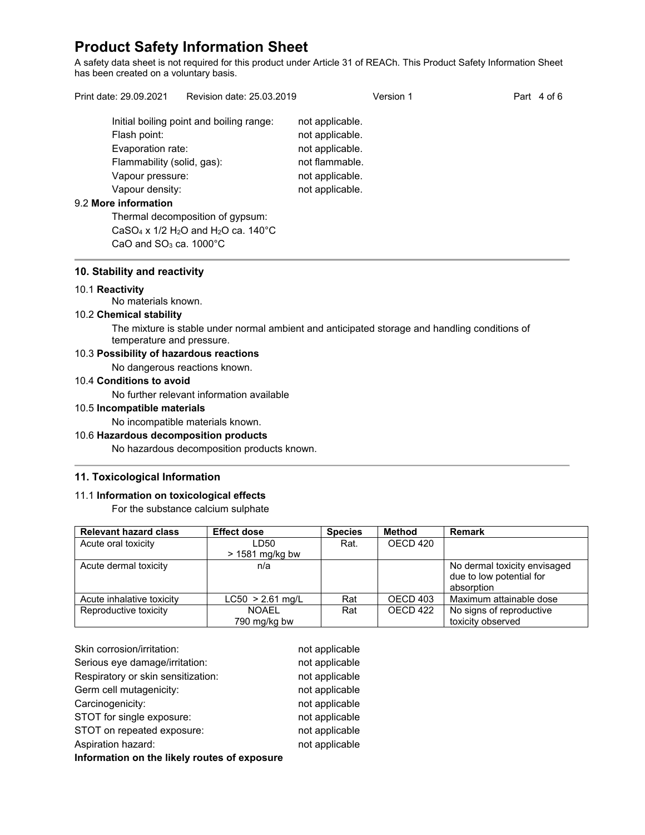A safety data sheet is not required for this product under Article 31 of REACh. This Product Safety Information Sheet has been created on a voluntary basis.

Print date: 29.09.2021 Revision date: 25.03.2019 Version 1 Version 1 Part 4 of 6 Initial boiling point and boiling range: not applicable. Flash point: not applicable. Evaporation rate: not applicable. Flammability (solid, gas): not flammable.

# 9.2 **More information**

Thermal decomposition of gypsum: CaSO<sub>4</sub> x  $1/2$  H<sub>2</sub>O and H<sub>2</sub>O ca. 140 $^{\circ}$ C CaO and  $SO<sub>3</sub>$  ca. 1000 $^{\circ}$ C

Vapour pressure: not applicable. Vapour density: not applicable.

#### **10. Stability and reactivity**

#### 10.1 **Reactivity**

No materials known.

#### 10.2 **Chemical stability**

The mixture is stable under normal ambient and anticipated storage and handling conditions of temperature and pressure.

#### 10.3 **Possibility of hazardous reactions**

No dangerous reactions known.

#### 10.4 **Conditions to avoid**

No further relevant information available

#### 10.5 **Incompatible materials**

No incompatible materials known.

# 10.6 **Hazardous decomposition products**

No hazardous decomposition products known.

#### **11. Toxicological Information**

#### 11.1 **Information on toxicological effects**

For the substance calcium sulphate

| <b>Relevant hazard class</b> | <b>Effect dose</b> | <b>Species</b> | Method   | <b>Remark</b>                |
|------------------------------|--------------------|----------------|----------|------------------------------|
| Acute oral toxicity          | LD50               | Rat.           | OECD 420 |                              |
|                              | $>$ 1581 mg/kg bw  |                |          |                              |
| Acute dermal toxicity        | n/a                |                |          | No dermal toxicity envisaged |
|                              |                    |                |          | due to low potential for     |
|                              |                    |                |          | absorption                   |
| Acute inhalative toxicity    | $LC50 > 2.61$ mg/L | Rat            | OECD 403 | Maximum attainable dose      |
| Reproductive toxicity        | NOAFI              | Rat            | OECD 422 | No signs of reproductive     |
|                              | 790 mg/kg bw       |                |          | toxicity observed            |

| Skin corrosion/irritation:                   | not applicable |  |  |  |
|----------------------------------------------|----------------|--|--|--|
| Serious eye damage/irritation:               | not applicable |  |  |  |
| Respiratory or skin sensitization:           | not applicable |  |  |  |
| Germ cell mutagenicity:                      | not applicable |  |  |  |
| Carcinogenicity:                             | not applicable |  |  |  |
| STOT for single exposure:                    | not applicable |  |  |  |
| STOT on repeated exposure:                   | not applicable |  |  |  |
| Aspiration hazard:                           | not applicable |  |  |  |
| Information on the likely routes of exposure |                |  |  |  |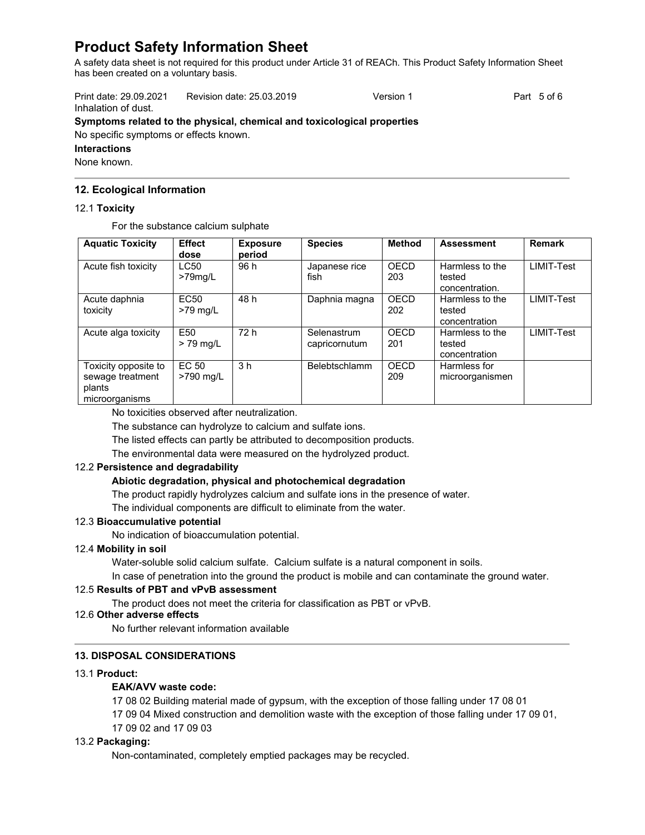A safety data sheet is not required for this product under Article 31 of REACh. This Product Safety Information Sheet has been created on a voluntary basis.

Print date: 29.09.2021 Revision date: 25.03.2019 Version 1 Part 5 of 6 Inhalation of dust.

# **Symptoms related to the physical, chemical and toxicological properties**

No specific symptoms or effects known.

# **Interactions**

None known.

# **12. Ecological Information**

# 12.1 **Toxicity**

For the substance calcium sulphate

| <b>Aquatic Toxicity</b>                                              | <b>Effect</b><br>dose     | <b>Exposure</b><br>period | <b>Species</b>               | <b>Method</b>      | <b>Assessment</b>                           | <b>Remark</b>     |
|----------------------------------------------------------------------|---------------------------|---------------------------|------------------------------|--------------------|---------------------------------------------|-------------------|
| Acute fish toxicity                                                  | <b>LC50</b><br>$>79$ mg/L | 96 h                      | Japanese rice<br>fish        | OECD<br>203        | Harmless to the<br>tested<br>concentration. | <b>LIMIT-Test</b> |
| Acute daphnia<br>toxicity                                            | <b>EC50</b><br>$>79$ mg/L | 48 h                      | Daphnia magna                | <b>OECD</b><br>202 | Harmless to the<br>tested<br>concentration  | <b>LIMIT-Test</b> |
| Acute alga toxicity                                                  | E50<br>$> 79$ mg/L        | 72 h                      | Selenastrum<br>capricornutum | <b>OECD</b><br>201 | Harmless to the<br>tested<br>concentration  | LIMIT-Test        |
| Toxicity opposite to<br>sewage treatment<br>plants<br>microorganisms | EC 50<br>>790 mg/L        | 3 <sub>h</sub>            | Belebtschlamm                | OECD<br>209        | Harmless for<br>microorganismen             |                   |

No toxicities observed after neutralization.

The substance can hydrolyze to calcium and sulfate ions.

The listed effects can partly be attributed to decomposition products.

The environmental data were measured on the hydrolyzed product.

# 12.2 **Persistence and degradability**

# **Abiotic degradation, physical and photochemical degradation**

The product rapidly hydrolyzes calcium and sulfate ions in the presence of water.

The individual components are difficult to eliminate from the water.

# 12.3 **Bioaccumulative potential**

No indication of bioaccumulation potential.

# 12.4 **Mobility in soil**

Water-soluble solid calcium sulfate. Calcium sulfate is a natural component in soils.

In case of penetration into the ground the product is mobile and can contaminate the ground water.

# 12.5 **Results of PBT and vPvB assessment**

The product does not meet the criteria for classification as PBT or vPvB.

#### 12.6 **Other adverse effects**

No further relevant information available

# **13. DISPOSAL CONSIDERATIONS**

## 13.1 **Product:**

# **EAK/AVV waste code:**

17 08 02 Building material made of gypsum, with the exception of those falling under 17 08 01

17 09 04 Mixed construction and demolition waste with the exception of those falling under 17 09 01,

17 09 02 and 17 09 03

# 13.2 **Packaging:**

Non-contaminated, completely emptied packages may be recycled.